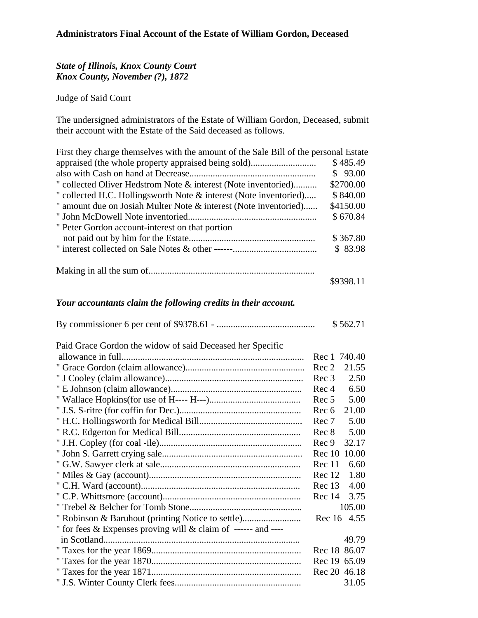## *State of Illinois, Knox County Court Knox County, November (?), 1872*

Judge of Said Court

The undersigned administrators of the Estate of William Gordon, Deceased, submit their account with the Estate of the Said deceased as follows.

| First they charge themselves with the amount of the Sale Bill of the personal Estate |           |
|--------------------------------------------------------------------------------------|-----------|
|                                                                                      | \$485.49  |
|                                                                                      | \$93.00   |
| " collected Oliver Hedstrom Note & interest (Note inventoried)                       | \$2700.00 |
| " collected H.C. Hollingsworth Note & interest (Note inventoried)                    | \$840.00  |
| " amount due on Josiah Multer Note & interest (Note inventoried)                     | \$4150.00 |
|                                                                                      | \$670.84  |
| " Peter Gordon account-interest on that portion                                      |           |
|                                                                                      | \$367.80  |
|                                                                                      | \$83.98   |
|                                                                                      |           |
|                                                                                      | \$9398.11 |

## *Your accountants claim the following credits in their account.*

|                                                               | \$562.71                 |
|---------------------------------------------------------------|--------------------------|
| Paid Grace Gordon the widow of said Deceased her Specific     |                          |
|                                                               | Rec 1 740.40             |
|                                                               | Rec 2<br>21.55           |
|                                                               | 2.50<br>Rec 3            |
|                                                               | Rec <sub>4</sub><br>6.50 |
|                                                               | Rec 5<br>5.00            |
|                                                               | 21.00<br>Rec 6           |
|                                                               | 5.00<br>Rec 7            |
|                                                               | 5.00<br>Rec 8            |
|                                                               | 32.17<br>Rec 9           |
|                                                               | Rec 10 10.00             |
|                                                               | 6.60<br>Rec 11           |
|                                                               | 1.80<br>Rec 12           |
|                                                               | 4.00<br>Rec 13           |
|                                                               | 3.75<br>Rec 14           |
|                                                               | 105.00                   |
|                                                               | Rec 16 4.55              |
| " for fees & Expenses proving will & claim of ------ and ---- |                          |
|                                                               | 49.79                    |
|                                                               | Rec 18 86.07             |
|                                                               | Rec 19 65.09             |
|                                                               | Rec 20 46.18             |
|                                                               | 31.05                    |